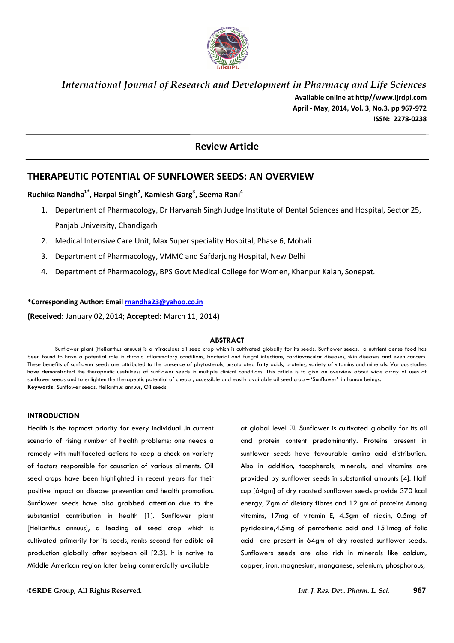

# *International Journal of Research and Development in Pharmacy and Life Sciences*  **Available online at http//www.ijrdpl.com April - May, 2014, Vol. 3, No.3, pp 967-972 ISSN: 2278-0238**

# **Review Article**

# **THERAPEUTIC POTENTIAL OF SUNFLOWER SEEDS: AN OVERVIEW**

# **Ruchika Nandha1\*, Harpal Singh<sup>2</sup> , Kamlesh Garg<sup>3</sup> , Seema Rani<sup>4</sup>**

- 1. Department of Pharmacology, Dr Harvansh Singh Judge Institute of Dental Sciences and Hospital, Sector 25, Panjab University, Chandigarh
- 2. Medical Intensive Care Unit, Max Super speciality Hospital, Phase 6, Mohali
- 3. Department of Pharmacology, VMMC and Safdarjung Hospital, New Delhi
- 4. Department of Pharmacology, BPS Govt Medical College for Women, Khanpur Kalan, Sonepat.

# **\*Corresponding Author: Email rnandha23@yahoo.co.in**

**(Received:** January 02, 2014; **Accepted:** March 11, 2014**)**

## **ABSTRACT**

Sunflower plant (Helianthus annuus) is a miraculous oil seed crop which is cultivated globally for its seeds. Sunflower seeds, a nutrient dense food has been found to have a potential role in chronic inflammatory conditions, bacterial and fungal infections, cardiovascular diseases, skin diseases and even cancers. These benefits of sunflower seeds are attributed to the presence of phytosterols, unsaturated fatty acids, proteins, variety of vitamins and minerals. Various studies have demonstrated the therapeutic usefulness of sunflower seeds in multiple clinical conditions. This article is to give an overview about wide array of uses of sunflower seeds and to enlighten the therapeutic potential of cheap , accessible and easily available oil seed crop – 'Sunflower' in human beings. **Keywords:** Sunflower seeds, Helianthus annuus, Oil seeds.

# **INTRODUCTION**

Health is the topmost priority for every individual .In current scenario of rising number of health problems; one needs a remedy with multifaceted actions to keep a check on variety of factors responsible for causation of various ailments. Oil seed crops have been highlighted in recent years for their positive impact on disease prevention and health promotion. Sunflower seeds have also grabbed attention due to the substantial contribution in health [1]. Sunflower plant [Helianthus annuus], a leading oil seed crop which is cultivated primarily for its seeds, ranks second for edible oil production globally after soybean oil [2,3]. It is native to Middle American region later being commercially available

at global level [1]. Sunflower is cultivated globally for its oil and protein content predominantly. Proteins present in sunflower seeds have favourable amino acid distribution. Also in addition, tocopherols, minerals, and vitamins are provided by sunflower seeds in substantial amounts [4]. Half cup [64gm] of dry roasted sunflower seeds provide 370 kcal energy, 7gm of dietary fibres and 12 gm of proteins Among vitamins, 17mg of vitamin E, 4.5gm of niacin, 0.5mg of pyridoxine,4.5mg of pentothenic acid and 151mcg of folic acid are present in 64gm of dry roasted sunflower seeds. Sunflowers seeds are also rich in minerals like calcium, copper, iron, magnesium, manganese, selenium, phosphorous,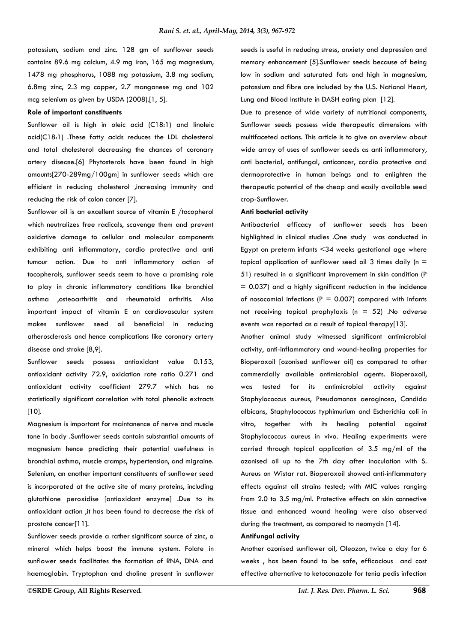potassium, sodium and zinc. 128 gm of sunflower seeds contains 89.6 mg calcium, 4.9 mg iron, 165 mg magnesium, 1478 mg phosphorus, 1088 mg potassium, 3.8 mg sodium, 6.8mg zinc, 2.3 mg copper, 2.7 manganese mg and 102 mcg selenium as given by USDA (2008).[1, 5].

# **Role of important constituents**

Sunflower oil is high in oleic acid (C18:1) and linoleic acid(C18:1) .These fatty acids reduces the LDL cholesterol and total cholesterol decreasing the chances of coronary artery disease.[6] Phytosterols have been found in high amounts[270-289mg/100gm] in sunflower seeds which are efficient in reducing cholesterol ,increasing immunity and reducing the risk of colon cancer [7].

Sunflower oil is an excellent source of vitamin E /tocopherol which neutralizes free radicals, scavenge them and prevent oxidative damage to cellular and molecular components exhibiting anti inflammatory, cardio protective and anti tumour action. Due to anti inflammatory action of tocopherols, sunflower seeds seem to have a promising role to play in chronic inflammatory conditions like bronchial asthma ,osteoarthritis and rheumatoid arthritis. Also important impact of vitamin E on cardiovascular system makes sunflower seed oil beneficial in reducing atherosclerosis and hence complications like coronary artery disease and stroke [8,9].

Sunflower seeds possess antioxidant value 0.153, antioxidant activity 72.9, oxidation rate ratio 0.271 and antioxidant activity coefficient 279.7 which has no statistically significant correlation with total phenolic extracts [10].

Magnesium is important for maintanence of nerve and muscle tone in body .Sunflower seeds contain substantial amounts of magnesium hence predicting their potential usefulness in bronchial asthma, muscle cramps, hypertension, and migraine. Selenium, an another important constituents of sunflower seed is incorporated at the active site of many proteins, including glutathione peroxidise [antioxidant enzyme] .Due to its antioxidant action ,it has been found to decrease the risk of prostate cancer[11].

Sunflower seeds provide a rather significant source of zinc, a mineral which helps boost the immune system. Folate in sunflower seeds facilitates the formation of RNA, DNA and haemoglobin. Tryptophan and choline present in sunflower seeds is useful in reducing stress, anxiety and depression and memory enhancement [5].Sunflower seeds because of being low in sodium and saturated fats and high in magnesium, potassium and fibre are included by the U.S. National Heart, Lung and Blood Institute in DASH eating plan [12].

Due to presence of wide variety of nutritional components, Sunflower seeds possess wide therapeutic dimensions with multifaceted actions. This article is to give an overview about wide array of uses of sunflower seeds as anti inflammatory, anti bacterial, antifungal, anticancer, cardio protective and dermoprotective in human beings and to enlighten the therapeutic potential of the cheap and easily available seed crop-Sunflower.

### **Anti bacterial activity**

Antibacterial efficacy of sunflower seeds has been highlighted in clinical studies .One study was conducted in Egypt on preterm infants <34 weeks gestational age where topical application of sunflower seed oil 3 times daily ( $n =$ 51) resulted in a significant improvement in skin condition (P = 0.037) and a highly significant reduction in the incidence of nosocomial infections ( $P = 0.007$ ) compared with infants not receiving topical prophylaxis ( $n = 52$ ) .No adverse events was reported as a result of topical therapy[13].

Another animal study witnessed significant antimicrobial activity, anti-inflammatory and wound-healing properties for Bioperoxoil [ozonised sunflower oil] as compared to other commercially available antimicrobial agents. Bioperoxoil, was tested for its antimicrobial activity against Staphylococcus aureus, Pseudomonas aeroginosa, Candida albicans, Staphylococcus typhimurium and Escherichia coli in vitro, together with its healing potential against Staphylococcus aureus in vivo. Healing experiments were carried through topical application of 3.5 mg/ml of the ozonised oil up to the 7th day after inoculation with S. Aureus on Wistar rat. Bioperoxoil showed anti-inflammatory effects against all strains tested; with MIC values ranging from 2.0 to 3.5 mg/ml. Protective effects on skin connective tissue and enhanced wound healing were also observed during the treatment, as compared to neomycin [14].

# **Antifungal activity**

Another ozonised sunflower oil, Oleozon, twice a day for 6 weeks , has been found to be safe, efficacious and cost effective alternative to ketoconazole for tenia pedis infection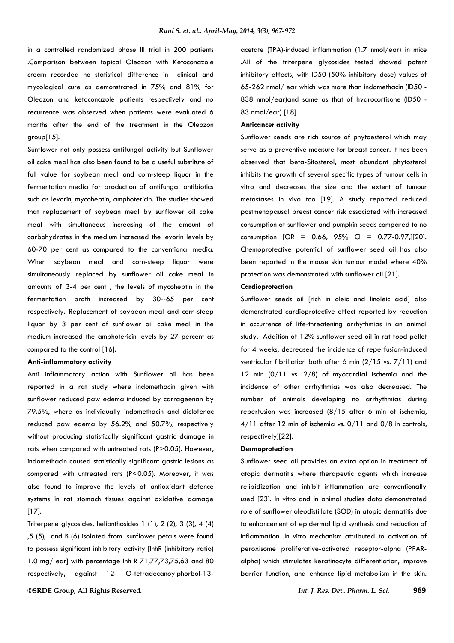in a controlled randomized phase III trial in 200 patients .Comparison between topical Oleozon with Ketoconazole cream recorded no statistical difference in clinical and mycological cure as demonstrated in 75% and 81% for Oleozon and ketoconazole patients respectively and no recurrence was observed when patients were evaluated 6 months after the end of the treatment in the Oleozon group[15].

Sunflower not only possess antifungal activity but Sunflower oil cake meal has also been found to be a useful substitute of full value for soybean meal and corn-steep liquor in the fermentation media for production of antifungal antibiotics such as levorin, mycoheptin, amphotericin. The studies showed that replacement of soybean meal by sunflower oil cake meal with simultaneous increasing of the amount of carbohydrates in the medium increased the levorin levels by 60-70 per cent as compared to the conventional media. When soybean meal and corn-steep liquor were simultaneously replaced by sunflower oil cake meal in amounts of 3-4 per cent , the levels of mycoheptin in the fermentation broth increased by 30--65 per cent respectively. Replacement of soybean meal and corn-steep liquor by 3 per cent of sunflower oil cake meal in the medium increased the amphotericin levels by 27 percent as compared to the control [16].

## **Anti-inflammatory activity**

Anti inflammatory action with Sunflower oil has been reported in a rat study where indomethacin given with sunflower reduced paw edema induced by carrageenan by 79.5%, where as individually indomethacin and diclofenac reduced paw edema by 56.2% and 50.7%, respectively without producing statistically significant gastric damage in rats when compared with untreated rats (P>0.05). However, indomethacin caused statistically significant gastric lesions as compared with untreated rats (P<0.05). Moreover, it was also found to improve the levels of antioxidant defence systems in rat stomach tissues against oxidative damage [17].

Triterpene glycosides, helianthosides 1 (1), 2 (2), 3 (3), 4 (4) ,5 (5), and B (6) isolated from sunflower petals were found to possess significant inhibitory activity [InhR (inhibitory ratio) 1.0 mg/ ear] with percentage Inh R 71,77,73,75,63 and 80 respectively, against 12- O-tetradecanoylphorbol-13acetate (TPA)-induced inflammation (1.7 nmol/ear) in mice .All of the triterpene glycosides tested showed potent inhibitory effects, with ID50 (50% inhibitory dose) values of 65-262 nmol/ ear which was more than indomethacin (ID50 - 838 nmol/ear)and same as that of hydrocortisone (ID50 - 83 nmol/ear) [18].

#### **Anticancer activity**

Sunflower seeds are rich source of phytoesterol which may serve as a preventive measure for breast cancer. It has been observed that beta-Sitosterol, most abundant phytosterol inhibits the growth of several specific types of tumour cells in vitro and decreases the size and the extent of tumour metastases in vivo too [19]. A study reported reduced postmenopausal breast cancer risk associated with increased consumption of sunflower and pumpkin seeds compared to no consumption  $[OR = 0.66, 95\% \text{ CI} = 0.77-0.97,][20]$ . Chemoprotective potential of sunflower seed oil has also been reported in the mouse skin tumour model where 40% protection was demonstrated with sunflower oil [21].

### **Cardioprotection**

Sunflower seeds oil [rich in oleic and linoleic acid] also demonstrated cardioprotective effect reported by reduction in occurrence of life-threatening arrhythmias in an animal study. Addition of 12% sunflower seed oil in rat food pellet for 4 weeks, decreased the incidence of reperfusion-induced ventricular fibrillation both after 6 min (2/15 vs. 7/11) and 12 min  $(0/11$  vs.  $2/8$ ) of myocardial ischemia and the incidence of other arrhythmias was also decreased. The number of animals developing no arrhythmias during reperfusion was increased (8/15 after 6 min of ischemia,  $4/11$  after 12 min of ischemia vs.  $0/11$  and  $0/8$  in controls, respectively)[22].

#### **Dermoprotection**

Sunflower seed oil provides an extra option in treatment of atopic dermatitis where therapeutic agents which increase relipidization and inhibit inflammation are conventionally used [23]. In vitro and in animal studies data demonstrated role of sunflower oleodistillate (SOD) in atopic dermatitis due to enhancement of epidermal lipid synthesis and reduction of inflammation .In vitro mechanism attributed to activation of peroxisome proliferative-activated receptor-alpha (PPARalpha) which stimulates keratinocyte differentiation, improve barrier function, and enhance lipid metabolism in the skin.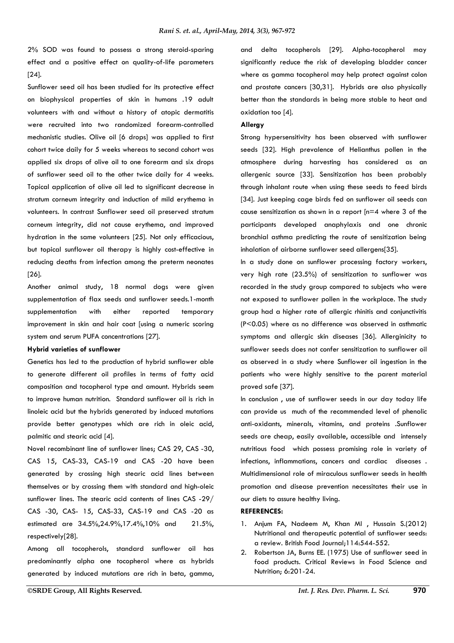2% SOD was found to possess a strong steroid-sparing effect and a positive effect on quality-of-life parameters [24].

Sunflower seed oil has been studied for its protective effect on biophysical properties of skin in humans .19 adult volunteers with and without a history of atopic dermatitis were recruited into two randomized forearm-controlled mechanistic studies. Olive oil [6 drops] was applied to first cohort twice daily for 5 weeks whereas to second cohort was applied six drops of olive oil to one forearm and six drops of sunflower seed oil to the other twice daily for 4 weeks. Topical application of olive oil led to significant decrease in stratum corneum integrity and induction of mild erythema in volunteers. In contrast Sunflower seed oil preserved stratum corneum integrity, did not cause erythema, and improved hydration in the same volunteers [25]. Not only efficacious, but topical sunflower oil therapy is highly cost-effective in reducing deaths from infection among the preterm neonates [26].

Another animal study, 18 normal dogs were given supplementation of flax seeds and sunflower seeds.1-month supplementation with either reported temporary improvement in skin and hair coat [using a numeric scoring system and serum PUFA concentrations [27].

# **Hybrid varieties of sunflower**

Genetics has led to the production of hybrid sunflower able to generate different oil profiles in terms of fatty acid composition and tocopherol type and amount. Hybrids seem to improve human nutrition. Standard sunflower oil is rich in linoleic acid but the hybrids generated by induced mutations provide better genotypes which are rich in oleic acid, palmitic and stearic acid [4].

Novel recombinant line of sunflower lines; CAS 29, CAS -30, CAS 15, CAS-33, CAS-19 and CAS -20 have been generated by crossing high stearic acid lines between themselves or by crossing them with standard and high-oleic sunflower lines. The stearic acid contents of lines CAS -29/ CAS -30, CAS- 15, CAS-33, CAS-19 and CAS -20 as estimated are 34.5%,24.9%,17.4%,10% and 21.5%, respectively[28].

Among all tocopherols, standard sunflower oil has predominantly alpha one tocopherol where as hybrids generated by induced mutations are rich in beta, gamma, and delta tocopherols [29]. Alpha-tocopherol may significantly reduce the risk of developing bladder cancer where as gamma tocopherol may help protect against colon and prostate cancers [30,31]. Hybrids are also physically better than the standards in being more stable to heat and oxidation too [4].

### **Allergy**

Strong hypersensitivity has been observed with sunflower seeds [32]. High prevalence of Helianthus pollen in the atmosphere during harvesting has considered as an allergenic source [33]. Sensitization has been probably through inhalant route when using these seeds to feed birds [34]. Just keeping cage birds fed on sunflower oil seeds can cause sensitization as shown in a report [n=4 where 3 of the participants developed anaphylaxis and one chronic bronchial asthma predicting the route of sensitization being inhalation of airborne sunflower seed allergens[35].

In a study done on sunflower processing factory workers, very high rate (23.5%) of sensitization to sunflower was recorded in the study group compared to subjects who were not exposed to sunflower pollen in the workplace. The study group had a higher rate of allergic rhinitis and conjunctivitis (P<0.05) where as no difference was observed in asthmatic symptoms and allergic skin diseases [36]. Allerginicity to sunflower seeds does not confer sensitization to sunflower oil as observed in a study where Sunflower oil ingestion in the patients who were highly sensitive to the parent material proved safe [37].

In conclusion , use of sunflower seeds in our day today life can provide us much of the recommended level of phenolic anti-oxidants, minerals, vitamins, and proteins .Sunflower seeds are cheap, easily available, accessible and intensely nutritious food which possess promising role in variety of infections, inflammations, cancers and cardiac diseases . Multidimensional role of miraculous sunflower seeds in health promotion and disease prevention necessitates their use in our diets to assure healthy living.

## **REFERENCES:**

- 1. Anjum FA, Nadeem M, Khan MI , Hussain S.(2012) Nutritional and therapeutic potential of sunflower seeds: a review. British Food Journal;114:544-552.
- 2. Robertson JA, Burns EE. (1975) Use of sunflower seed in food products. Critical Reviews in Food Science and Nutrition; 6:201-24.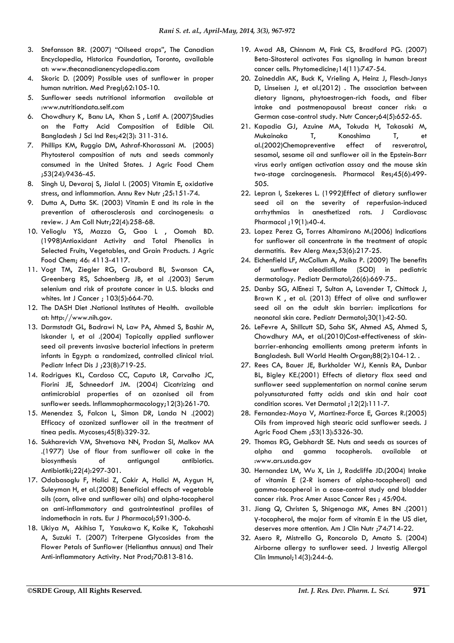- 3. Stefansson BR. (2007) "Oilseed crops", The Canadian Encyclopedia, Historica Foundation, Toronto, available at: www.thecanadianencyclopedia.com
- 4. Skoric D. (2009) Possible uses of sunflower in proper human nutrition. Med Pregl;62:105-10.
- 5. Sunflower seeds nutritional information available at :www.nutritiondata.self.com
- 6. Chowdhury K, Banu LA, Khan S , Latif A. (2007)Studies on the Fatty Acid Composition of Edible Oil. Bangladesh J Sci Ind Res;42(3): 311-316.
- 7. Phillips KM, Ruggio DM, Ashraf-Khorassani M. (2005) Phytosterol composition of nuts and seeds commonly consumed in the United States. J Agric Food Chem ;53(24):9436-45.
- 8. Singh U, Devaraj S, Jialal I. (2005) Vitamin E, oxidative stress, and inflammation. Annu Rev Nutr ;25:151-74.
- 9. Dutta A, Dutta SK. (2003) Vitamin E and its role in the prevention of atherosclerosis and carcinogenesis: a review. J Am Coll Nutr;22(4):258-68.
- 10. Velioglu YS, Mazza G, Gao L , Oomah BD. (1998)Antioxidant Activity and Total Phenolics in Selected Fruits, Vegetables, and Grain Products. J Agric Food Chem; 46: 4113-4117.
- 11. Vogt TM, Ziegler RG, Graubard BI, Swanson CA, Greenberg RS, Schoenberg JB, et al .(2003) Serum selenium and risk of prostate cancer in U.S. blacks and whites. Int J Cancer ; 103(5):664-70.
- 12. The DASH Diet .National Institutes of Health. available at: http://www.nih.gov.
- 13. Darmstadt GL, Badrawi N, Law PA, Ahmed S, Bashir M, Iskander I, et al .(2004) Topically applied sunflower seed oil prevents invasive bacterial infections in preterm infants in Egypt: a randomized, controlled clinical trial. Pediatr Infect Dis J ;23(8):719-25.
- 14. Rodrigues KL, Cardoso CC, Caputo LR, Carvalho JC, Fiorini JE, Schneedorf JM. (2004) Cicatrizing and antimicrobial properties of an ozonised oil from sunflower seeds. Inflammopharmacology;12(3):261-70.
- 15. Menendez S, Falcon L, Simon DR, Landa N .(2002) Efficacy of ozonized sunflower oil in the treatment of tinea pedis. Mycoses;45(8):329-32.
- 16. Sukharevich VM, Shvetsova NN, Prodan SI, Malkov MA .(1977) Use of flour from sunflower oil cake in the biosynthesis of antigungal antibiotics. Antibiotiki;22(4):297-301.
- 17. Odabasoglu F, Halici Z, Cakir A, Halici M, Aygun H, Suleyman H, et al.(2008) Beneficial effects of vegetable oils (corn, olive and sunflower oils) and alpha-tocopherol on anti-inflammatory and gastrointestinal profiles of indomethacin in rats. Eur J Pharmacol;591:300-6.
- 18. Ukiya M, Akihisa T, Yasukawa K, Koike K, Takahashi A, Suzuki T. (2007) Triterpene Glycosides from the Flower Petals of Sunflower (Helianthus annuus) and Their Anti-inflammatory Activity. Nat Prod;70:813-816.
- 19. Awad AB, Chinnam M, Fink CS, Bradford PG. (2007) Beta-Sitosterol activates Fas signaling in human breast cancer cells. Phytomedicine;14(11):747-54.
- 20. Zaineddin AK, Buck K, Vrieling A, Heinz J, Flesch-Janys D, Linseisen J, et al.(2012) . The association between dietary lignans, phytoestrogen-rich foods, and fiber intake and postmenopausal breast cancer risk: a German case-control study. Nutr Cancer;64(5):652-65.
- 21. Kapadia GJ, Azuine MA, Tokuda H, Takasaki M, Mukainaka T, Konoshima T, et al.(2002)Chemopreventive effect of resveratrol, sesamol, sesame oil and sunflower oil in the Epstein-Barr virus early antigen activation assay and the mouse skin two-stage carcinogenesis. Pharmacol Res;45(6):499- 505.
- 22. Lepran I, Szekeres L. (1992)Effect of dietary sunflower seed oil on the severity of reperfusion-induced arrhythmias in anesthetized rats. J Cardiovasc Pharmacol ;19(1):40-4.
- 23. Lopez Perez G, Torres Altamirano M.(2006) Indications for sunflower oil concentrate in the treatment of atopic dermatitis. Rev Alerg Mex;53(6):217-25.
- 24. Eichenfield LF, McCollum A, Msika P. (2009) The benefits of sunflower oleodistillate (SOD) in pediatric dermatology. Pediatr Dermatol;26(6):669-75..
- 25. Danby SG, AlEnezi T, Sultan A, Lavender T, Chittock J, Brown K , et al. (2013) Effect of olive and sunflower seed oil on the adult skin barrier: implications for neonatal skin care. Pediatr Dermatol;30(1):42-50.
- 26. LeFevre A, Shillcutt SD, Saha SK, Ahmed AS, Ahmed S, Chowdhury MA, et al.(2010)Cost-effectiveness of skinbarrier-enhancing emollients among preterm infants in Bangladesh. Bull World Health Organ;88(2):104-12. .
- 27. Rees CA, Bauer JE, Burkholder WJ, Kennis RA, Dunbar BL, Bigley KE.(2001) Effects of dietary flax seed and sunflower seed supplementation on normal canine serum polyunsaturated fatty acids and skin and hair coat condition scores. Vet Dermatol ;12(2):111-7.
- 28. Fernandez-Moya V, Martinez-Force E, Garces R.(2005) Oils from improved high stearic acid sunflower seeds. J Agric Food Chem ;53(13):5326-30.
- 29. Thomas RG, Gebhardt SE. Nuts and seeds as sources of alpha and gamma tocopherols. available :www.ars.usda.gov
- 30. Hernandez LM, Wu X, Lin J, Radcliffe JD.(2004) Intake of vitamin E (2-R isomers of alpha-tocopherol) and gamma-tocopherol in a case-control study and bladder cancer risk. Proc Amer Assoc Cancer Res ; 45:904.
- 31. Jiang Q, Christen S, Shigenaga MK, Ames BN .(2001) γ-tocopherol, the major form of vitamin E in the US diet, deserves more attention. Am J Clin Nutr ;74:714-22.
- 32. Asero R, Mistrello G, Roncarolo D, Amato S. (2004) Airborne allergy to sunflower seed. J Investig Allergol Clin Immunol;14(3):244-6.